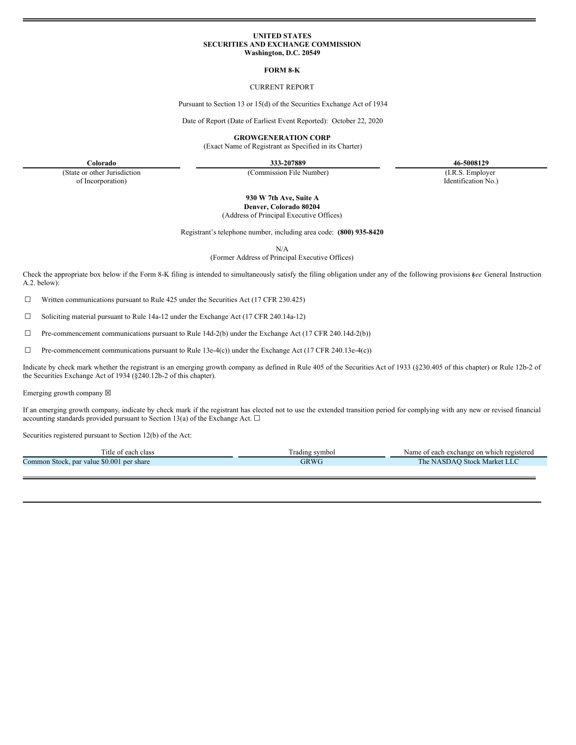### **UNITED STATES SECURITIES AND EXCHANGE COMMISSION Washington, D.C. 20549**

#### **FORM 8-K**

## CURRENT REPORT

Pursuant to Section 13 or 15(d) of the Securities Exchange Act of 1934

Date of Report (Date of Earliest Event Reported): October 22, 2020

**GROWGENERATION CORP**

(Exact Name of Registrant as Specified in its Charter)

**Colorado 333-207889 46-5008129** Identification No.)

(State or other Jurisdiction of Incorporation)

(Commission File Number) (I.R.S. Employer

**930 W 7th Ave, Suite A**

**Denver, Colorado 80204**

(Address of Principal Executive Offices)

Registrant's telephone number, including area code: **(800) 935-8420**

N/A

(Former Address of Principal Executive Offices)

Check the appropriate box below if the Form 8-K filing is intended to simultaneously satisfy the filing obligation under any of the following provisions (*see* General Instruction A.2. below):

 $\Box$  Written communications pursuant to Rule 425 under the Securities Act (17 CFR 230.425)

☐ Soliciting material pursuant to Rule 14a-12 under the Exchange Act (17 CFR 240.14a-12)

 $\Box$  Pre-commencement communications pursuant to Rule 14d-2(b) under the Exchange Act (17 CFR 240.14d-2(b))

 $\Box$  Pre-commencement communications pursuant to Rule 13e-4(c)) under the Exchange Act (17 CFR 240.13e-4(c))

Indicate by check mark whether the registrant is an emerging growth company as defined in Rule 405 of the Securities Act of 1933 (§230.405 of this chapter) or Rule 12b-2 of the Securities Exchange Act of 1934 (§240.12b-2 of this chapter).

Emerging growth company  $\boxtimes$ 

If an emerging growth company, indicate by check mark if the registrant has elected not to use the extended transition period for complying with any new or revised financial accounting standards provided pursuant to Section 13(a) of the Exchange Act.  $\square$ 

Securities registered pursuant to Section 12(b) of the Act:

| <sup>1</sup> tle<br>each class<br>. ot           | l'radıng symbol | e of each exchange on which registered<br>Name |
|--------------------------------------------------|-----------------|------------------------------------------------|
| : \$0.001 per share<br>Common Stock, par value ! | GRWC            | <b>Stock Market LLC</b><br>he<br>NASDAO        |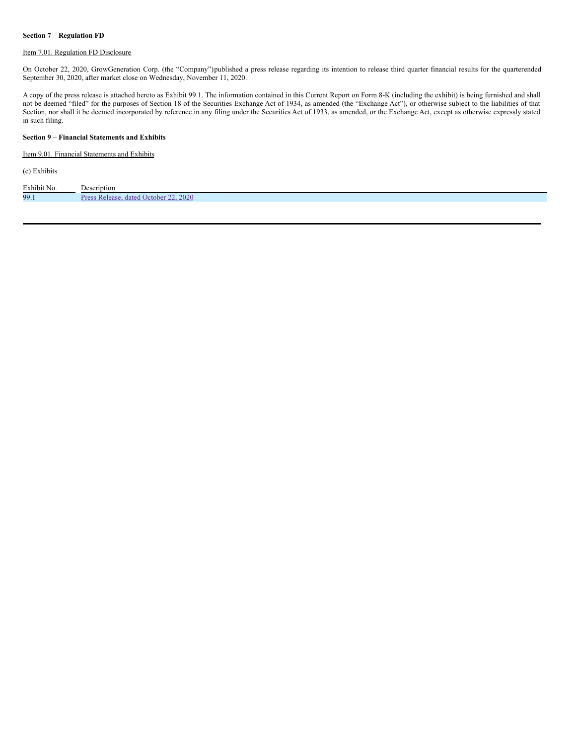## **Section 7 – Regulation FD**

# Item 7.01. Regulation FD Disclosure

On October 22, 2020, GrowGeneration Corp. (the "Company")published a press release regarding its intention to release third quarter financial results for the quarterended September 30, 2020, after market close on Wednesday, November 11, 2020.

A copy of the press release is attached hereto as Exhibit 99.1. The information contained in this Current Report on Form 8-K (including the exhibit) is being furnished and shall not be deemed "filed" for the purposes of Section 18 of the Securities Exchange Act of 1934, as amended (the "Exchange Act"), or otherwise subject to the liabilities of that Section, nor shall it be deemed incorporated by reference in any filing under the Securities Act of 1933, as amended, or the Exchange Act, except as otherwise expressly stated in such filing.

## **Section 9 – Financial Statements and Exhibits**

## Item 9.01. Financial Statements and Exhibits

(c) Exhibits

| Exhibit No. | Description                                                                 |
|-------------|-----------------------------------------------------------------------------|
| 99.1        | 2020<br>-Re<br>$\mathbf{p_{ref}}$<br>October <sup>*</sup><br>dated<br>lease |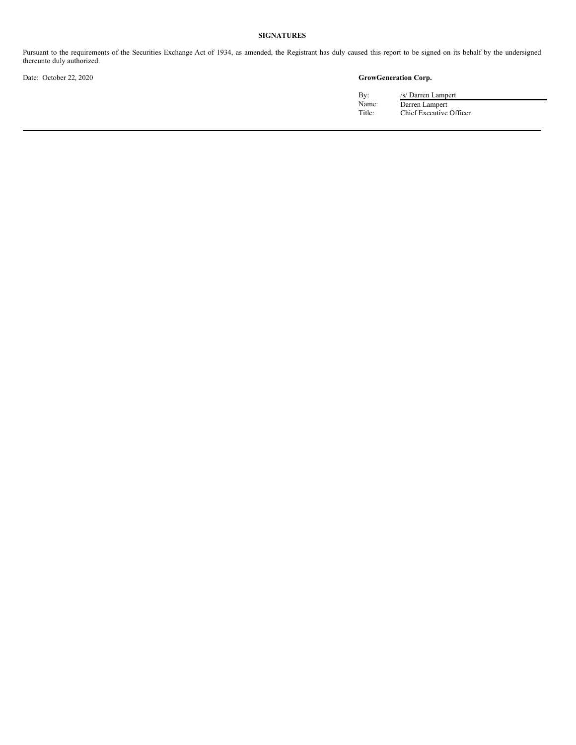## **SIGNATURES**

Pursuant to the requirements of the Securities Exchange Act of 1934, as amended, the Registrant has duly caused this report to be signed on its behalf by the undersigned thereunto duly authorized.

# Date: October 22, 2020 **GrowGeneration Corp.**

| By:    |
|--------|
| Name:  |
| Title: |

/s/ Darren Lampert Name: Darren Lampert Title: Chief Executive Officer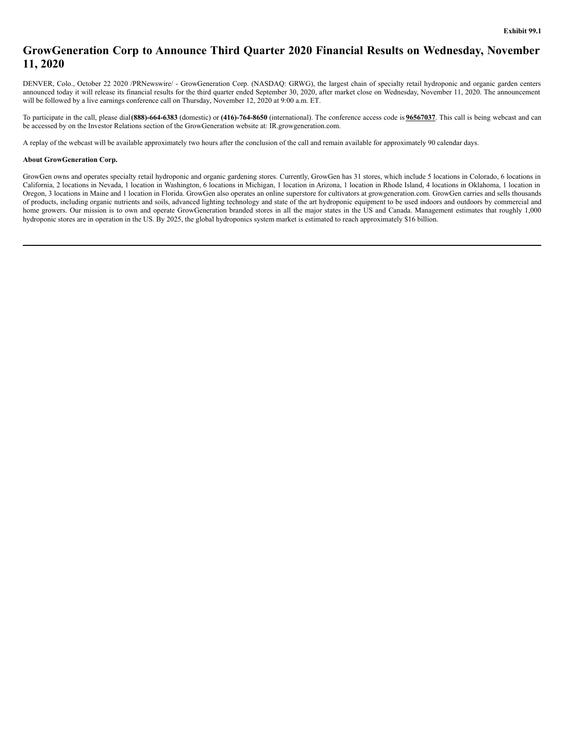# <span id="page-3-0"></span>**GrowGeneration Corp to Announce Third Quarter 2020 Financial Results on Wednesday, November 11, 2020**

DENVER, Colo., October 22 2020 /PRNewswire/ - GrowGeneration Corp. (NASDAQ: GRWG), the largest chain of specialty retail hydroponic and organic garden centers announced today it will release its financial results for the third quarter ended September 30, 2020, after market close on Wednesday, November 11, 2020. The announcement will be followed by a live earnings conference call on Thursday, November 12, 2020 at 9:00 a.m. ET.

To participate in the call, please dial**(888)-664-6383** (domestic) or **(416)-764-8650** (international). The conference access code is **96567037**. This call is being webcast and can be accessed by on the Investor Relations section of the GrowGeneration website at: IR.growgeneration.com.

A replay of the webcast will be available approximately two hours after the conclusion of the call and remain available for approximately 90 calendar days.

#### **About GrowGeneration Corp.**

GrowGen owns and operates specialty retail hydroponic and organic gardening stores. Currently, GrowGen has 31 stores, which include 5 locations in Colorado, 6 locations in California, 2 locations in Nevada, 1 location in Washington, 6 locations in Michigan, 1 location in Arizona, 1 location in Rhode Island, 4 locations in Oklahoma, 1 location in Oregon, 3 locations in Maine and 1 location in Florida. GrowGen also operates an online superstore for cultivators at growgeneration.com. GrowGen carries and sells thousands of products, including organic nutrients and soils, advanced lighting technology and state of the art hydroponic equipment to be used indoors and outdoors by commercial and home growers. Our mission is to own and operate GrowGeneration branded stores in all the major states in the US and Canada. Management estimates that roughly 1,000 hydroponic stores are in operation in the US. By 2025, the global hydroponics system market is estimated to reach approximately \$16 billion.